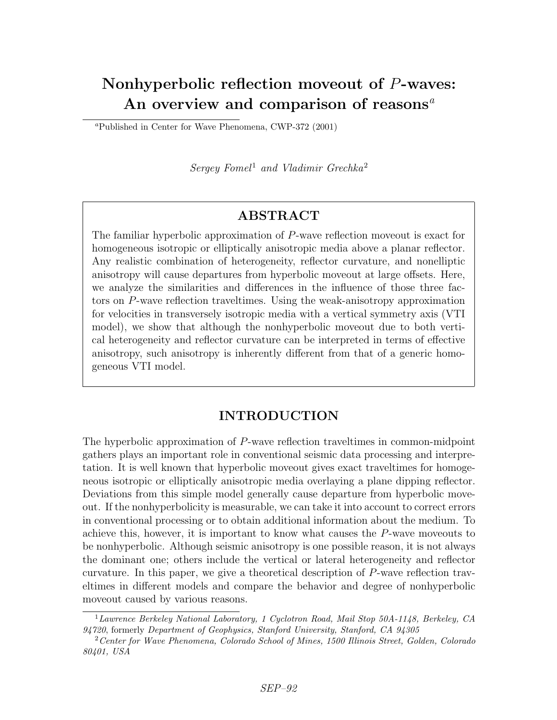# Nonhyperbolic reflection moveout of P-waves: An overview and comparison of reasons<sup> $a$ </sup>

<sup>a</sup>Published in Center for Wave Phenomena, CWP-372 (2001)

Sergey Fomel<sup>1</sup> and Vladimir Grechka<sup>2</sup>

## ABSTRACT

The familiar hyperbolic approximation of P-wave reflection moveout is exact for homogeneous isotropic or elliptically anisotropic media above a planar reflector. Any realistic combination of heterogeneity, reflector curvature, and nonelliptic anisotropy will cause departures from hyperbolic moveout at large offsets. Here, we analyze the similarities and differences in the influence of those three factors on P-wave reflection traveltimes. Using the weak-anisotropy approximation for velocities in transversely isotropic media with a vertical symmetry axis (VTI model), we show that although the nonhyperbolic moveout due to both vertical heterogeneity and reflector curvature can be interpreted in terms of effective anisotropy, such anisotropy is inherently different from that of a generic homogeneous VTI model.

## INTRODUCTION

The hyperbolic approximation of P-wave reflection traveltimes in common-midpoint gathers plays an important role in conventional seismic data processing and interpretation. It is well known that hyperbolic moveout gives exact traveltimes for homogeneous isotropic or elliptically anisotropic media overlaying a plane dipping reflector. Deviations from this simple model generally cause departure from hyperbolic moveout. If the nonhyperbolicity is measurable, we can take it into account to correct errors in conventional processing or to obtain additional information about the medium. To achieve this, however, it is important to know what causes the P-wave moveouts to be nonhyperbolic. Although seismic anisotropy is one possible reason, it is not always the dominant one; others include the vertical or lateral heterogeneity and reflector curvature. In this paper, we give a theoretical description of P-wave reflection traveltimes in different models and compare the behavior and degree of nonhyperbolic moveout caused by various reasons.

 $1$ Lawrence Berkeley National Laboratory, 1 Cyclotron Road, Mail Stop 50A-1148, Berkeley, CA 94720, formerly Department of Geophysics, Stanford University, Stanford, CA 94305

 $2$  Center for Wave Phenomena, Colorado School of Mines, 1500 Illinois Street, Golden, Colorado 80401, USA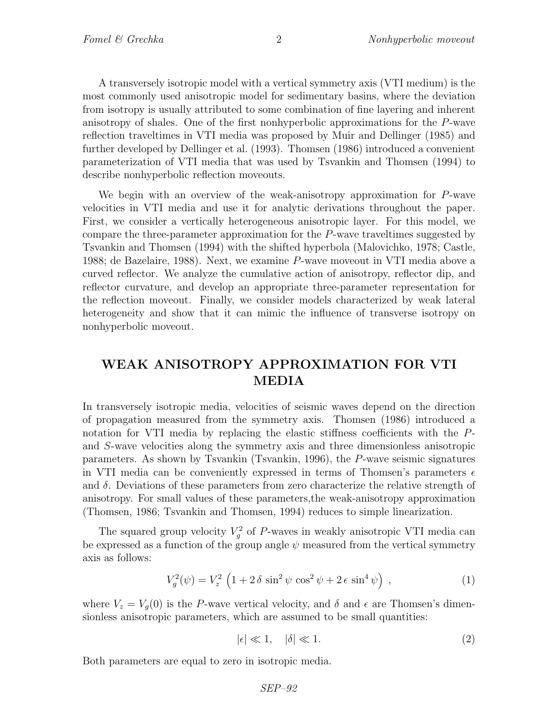A transversely isotropic model with a vertical symmetry axis (VTI medium) is the most commonly used anisotropic model for sedimentary basins, where the deviation from isotropy is usually attributed to some combination of fine layering and inherent anisotropy of shales. One of the first nonhyperbolic approximations for the P-wave reflection traveltimes in VTI media was proposed by Muir and Dellinger (1985) and further developed by Dellinger et al. (1993). Thomsen (1986) introduced a convenient parameterization of VTI media that was used by Tsvankin and Thomsen (1994) to describe nonhyperbolic reflection moveouts.

We begin with an overview of the weak-anisotropy approximation for P-wave velocities in VTI media and use it for analytic derivations throughout the paper. First, we consider a vertically heterogeneous anisotropic layer. For this model, we compare the three-parameter approximation for the P-wave traveltimes suggested by Tsvankin and Thomsen (1994) with the shifted hyperbola (Malovichko, 1978; Castle, 1988; de Bazelaire, 1988). Next, we examine P-wave moveout in VTI media above a curved reflector. We analyze the cumulative action of anisotropy, reflector dip, and reflector curvature, and develop an appropriate three-parameter representation for the reflection moveout. Finally, we consider models characterized by weak lateral heterogeneity and show that it can mimic the influence of transverse isotropy on nonhyperbolic moveout.

## WEAK ANISOTROPY APPROXIMATION FOR VTI MEDIA

In transversely isotropic media, velocities of seismic waves depend on the direction of propagation measured from the symmetry axis. Thomsen (1986) introduced a notation for VTI media by replacing the elastic stiffness coefficients with the Pand S-wave velocities along the symmetry axis and three dimensionless anisotropic parameters. As shown by Tsvankin (Tsvankin, 1996), the P-wave seismic signatures in VTI media can be conveniently expressed in terms of Thomsen's parameters  $\epsilon$ and  $\delta$ . Deviations of these parameters from zero characterize the relative strength of anisotropy. For small values of these parameters,the weak-anisotropy approximation (Thomsen, 1986; Tsvankin and Thomsen, 1994) reduces to simple linearization.

The squared group velocity  $V_g^2$  of P-waves in weakly anisotropic VTI media can be expressed as a function of the group angle  $\psi$  measured from the vertical symmetry axis as follows:

$$
V_g^2(\psi) = V_z^2 \left(1 + 2\delta \sin^2 \psi \cos^2 \psi + 2\epsilon \sin^4 \psi\right) ,\qquad (1)
$$

where  $V_z = V_q(0)$  is the P-wave vertical velocity, and  $\delta$  and  $\epsilon$  are Thomsen's dimensionless anisotropic parameters, which are assumed to be small quantities:

$$
|\epsilon| \ll 1, \quad |\delta| \ll 1. \tag{2}
$$

Both parameters are equal to zero in isotropic media.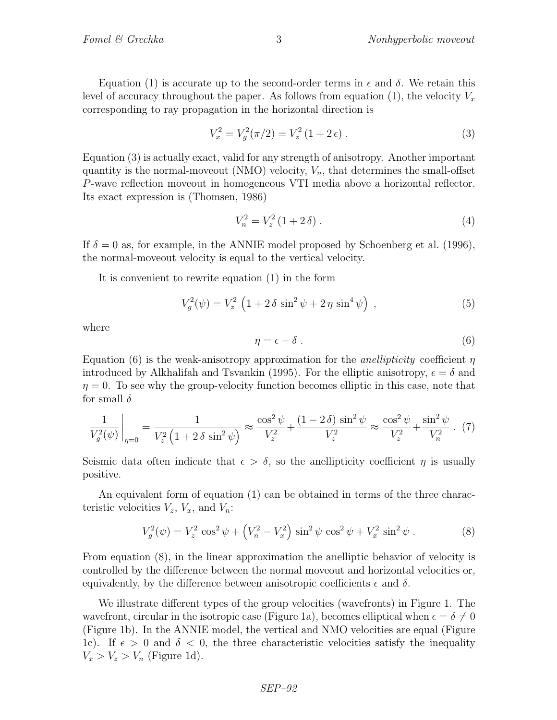Equation (1) is accurate up to the second-order terms in  $\epsilon$  and  $\delta$ . We retain this level of accuracy throughout the paper. As follows from equation (1), the velocity  $V_x$ corresponding to ray propagation in the horizontal direction is

$$
V_x^2 = V_g^2(\pi/2) = V_z^2(1+2\epsilon) \ . \tag{3}
$$

Equation (3) is actually exact, valid for any strength of anisotropy. Another important quantity is the normal-moveout (NMO) velocity,  $V_n$ , that determines the small-offset P-wave reflection moveout in homogeneous VTI media above a horizontal reflector. Its exact expression is (Thomsen, 1986)

$$
V_n^2 = V_z^2 (1 + 2 \delta) \,. \tag{4}
$$

If  $\delta = 0$  as, for example, in the ANNIE model proposed by Schoenberg et al. (1996), the normal-moveout velocity is equal to the vertical velocity.

It is convenient to rewrite equation (1) in the form

$$
V_g^2(\psi) = V_z^2 \left( 1 + 2 \delta \sin^2 \psi + 2 \eta \sin^4 \psi \right) , \qquad (5)
$$

where

$$
\eta = \epsilon - \delta \tag{6}
$$

Equation (6) is the weak-anisotropy approximation for the *anellipticity* coefficient  $\eta$ introduced by Alkhalifah and Tsvankin (1995). For the elliptic anisotropy,  $\epsilon = \delta$  and  $\eta = 0$ . To see why the group-velocity function becomes elliptic in this case, note that for small  $\delta$ 

$$
\frac{1}{V_g^2(\psi)}\Big|_{\eta=0} = \frac{1}{V_z^2 \left(1 + 2\,\delta\,\sin^2\psi\right)} \approx \frac{\cos^2\psi}{V_z^2} + \frac{(1 - 2\,\delta)\,\sin^2\psi}{V_z^2} \approx \frac{\cos^2\psi}{V_z^2} + \frac{\sin^2\psi}{V_n^2} \,. \tag{7}
$$

Seismic data often indicate that  $\epsilon > \delta$ , so the anellipticity coefficient  $\eta$  is usually positive.

An equivalent form of equation (1) can be obtained in terms of the three characteristic velocities  $V_z$ ,  $V_x$ , and  $V_n$ :

$$
V_g^2(\psi) = V_z^2 \cos^2 \psi + \left(V_n^2 - V_x^2\right) \sin^2 \psi \cos^2 \psi + V_x^2 \sin^2 \psi \,. \tag{8}
$$

From equation (8), in the linear approximation the anelliptic behavior of velocity is controlled by the difference between the normal moveout and horizontal velocities or, equivalently, by the difference between anisotropic coefficients  $\epsilon$  and  $\delta$ .

We illustrate different types of the group velocities (wavefronts) in Figure 1. The wavefront, circular in the isotropic case (Figure 1a), becomes elliptical when  $\epsilon = \delta \neq 0$ (Figure 1b). In the ANNIE model, the vertical and NMO velocities are equal (Figure 1c). If  $\epsilon > 0$  and  $\delta < 0$ , the three characteristic velocities satisfy the inequality  $V_x > V_z > V_n$  (Figure 1d).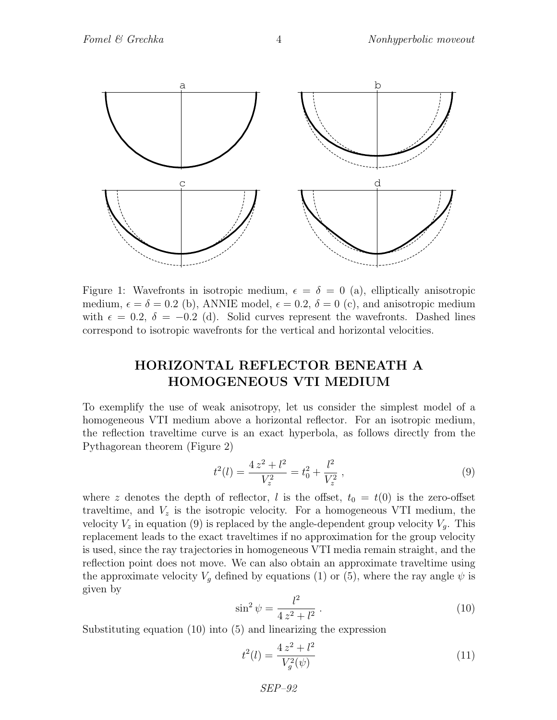

Figure 1: Wavefronts in isotropic medium,  $\epsilon = \delta = 0$  (a), elliptically anisotropic medium,  $\epsilon = \delta = 0.2$  (b), ANNIE model,  $\epsilon = 0.2$ ,  $\delta = 0$  (c), and anisotropic medium with  $\epsilon = 0.2$ ,  $\delta = -0.2$  (d). Solid curves represent the wavefronts. Dashed lines correspond to isotropic wavefronts for the vertical and horizontal velocities.

## HORIZONTAL REFLECTOR BENEATH A HOMOGENEOUS VTI MEDIUM

To exemplify the use of weak anisotropy, let us consider the simplest model of a homogeneous VTI medium above a horizontal reflector. For an isotropic medium, the reflection traveltime curve is an exact hyperbola, as follows directly from the Pythagorean theorem (Figure 2)

$$
t^{2}(l) = \frac{4 z^{2} + l^{2}}{V_{z}^{2}} = t_{0}^{2} + \frac{l^{2}}{V_{z}^{2}} , \qquad (9)
$$

where z denotes the depth of reflector, l is the offset,  $t_0 = t(0)$  is the zero-offset traveltime, and  $V_z$  is the isotropic velocity. For a homogeneous VTI medium, the velocity  $V_z$  in equation (9) is replaced by the angle-dependent group velocity  $V_g$ . This replacement leads to the exact traveltimes if no approximation for the group velocity is used, since the ray trajectories in homogeneous VTI media remain straight, and the reflection point does not move. We can also obtain an approximate traveltime using the approximate velocity  $V_g$  defined by equations (1) or (5), where the ray angle  $\psi$  is given by

$$
\sin^2 \psi = \frac{l^2}{4z^2 + l^2} \,. \tag{10}
$$

Substituting equation (10) into (5) and linearizing the expression

$$
t^{2}(l) = \frac{4 z^{2} + l^{2}}{V_{g}^{2}(\psi)}
$$
\n(11)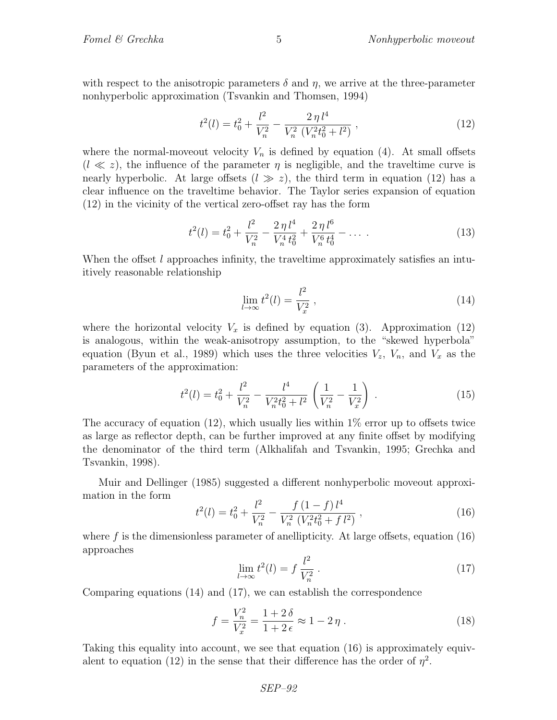with respect to the anisotropic parameters  $\delta$  and  $\eta$ , we arrive at the three-parameter nonhyperbolic approximation (Tsvankin and Thomsen, 1994)

$$
t^{2}(l) = t_{0}^{2} + \frac{l^{2}}{V_{n}^{2}} - \frac{2\,\eta\,l^{4}}{V_{n}^{2}\left(V_{n}^{2}t_{0}^{2} + l^{2}\right)}\,,\tag{12}
$$

where the normal-moveout velocity  $V_n$  is defined by equation (4). At small offsets  $(l \ll z)$ , the influence of the parameter  $\eta$  is negligible, and the traveltime curve is nearly hyperbolic. At large offsets  $(l \gg z)$ , the third term in equation (12) has a clear influence on the traveltime behavior. The Taylor series expansion of equation (12) in the vicinity of the vertical zero-offset ray has the form

$$
t^{2}(l) = t_{0}^{2} + \frac{l^{2}}{V_{n}^{2}} - \frac{2\,\eta\,l^{4}}{V_{n}^{4}\,t_{0}^{2}} + \frac{2\,\eta\,l^{6}}{V_{n}^{6}\,t_{0}^{4}} - \dots \tag{13}
$$

When the offset  $l$  approaches infinity, the traveltime approximately satisfies an intuitively reasonable relationship

$$
\lim_{l \to \infty} t^2(l) = \frac{l^2}{V_x^2},\tag{14}
$$

where the horizontal velocity  $V_x$  is defined by equation (3). Approximation (12) is analogous, within the weak-anisotropy assumption, to the "skewed hyperbola" equation (Byun et al., 1989) which uses the three velocities  $V_z$ ,  $V_n$ , and  $V_x$  as the parameters of the approximation:

$$
t^{2}(l) = t_{0}^{2} + \frac{l^{2}}{V_{n}^{2}} - \frac{l^{4}}{V_{n}^{2}t_{0}^{2} + l^{2}} \left(\frac{1}{V_{n}^{2}} - \frac{1}{V_{x}^{2}}\right).
$$
 (15)

The accuracy of equation  $(12)$ , which usually lies within  $1\%$  error up to offsets twice as large as reflector depth, can be further improved at any finite offset by modifying the denominator of the third term (Alkhalifah and Tsvankin, 1995; Grechka and Tsvankin, 1998).

Muir and Dellinger (1985) suggested a different nonhyperbolic moveout approximation in the form

$$
t^{2}(l) = t_{0}^{2} + \frac{l^{2}}{V_{n}^{2}} - \frac{f(1-f)l^{4}}{V_{n}^{2}(V_{n}^{2}t_{0}^{2} + fl^{2})},
$$
\n(16)

where f is the dimensionless parameter of anellipticity. At large offsets, equation  $(16)$ approaches

$$
\lim_{l \to \infty} t^2(l) = f \frac{l^2}{V_n^2} \,. \tag{17}
$$

Comparing equations (14) and (17), we can establish the correspondence

$$
f = \frac{V_n^2}{V_x^2} = \frac{1+2\delta}{1+2\epsilon} \approx 1-2\eta \,. \tag{18}
$$

Taking this equality into account, we see that equation (16) is approximately equivalent to equation (12) in the sense that their difference has the order of  $\eta^2$ .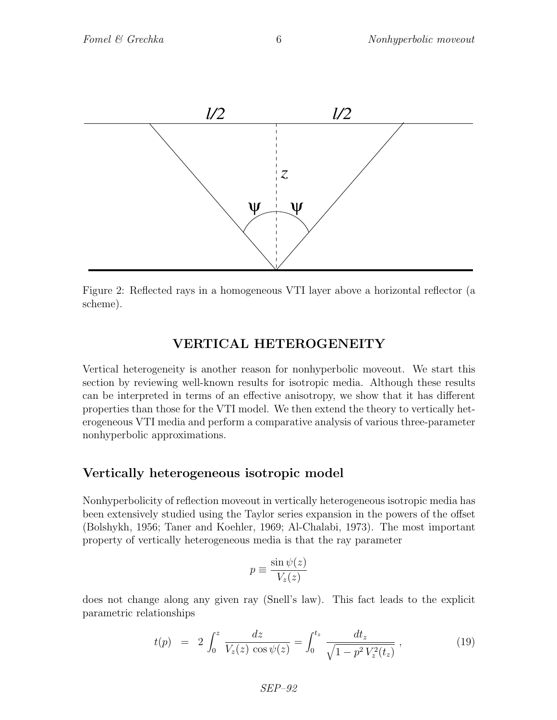

Figure 2: Reflected rays in a homogeneous VTI layer above a horizontal reflector (a scheme).

#### VERTICAL HETEROGENEITY

Vertical heterogeneity is another reason for nonhyperbolic moveout. We start this section by reviewing well-known results for isotropic media. Although these results can be interpreted in terms of an effective anisotropy, we show that it has different properties than those for the VTI model. We then extend the theory to vertically heterogeneous VTI media and perform a comparative analysis of various three-parameter nonhyperbolic approximations.

#### Vertically heterogeneous isotropic model

Nonhyperbolicity of reflection moveout in vertically heterogeneous isotropic media has been extensively studied using the Taylor series expansion in the powers of the offset (Bolshykh, 1956; Taner and Koehler, 1969; Al-Chalabi, 1973). The most important property of vertically heterogeneous media is that the ray parameter

$$
p \equiv \frac{\sin \psi(z)}{V_z(z)}
$$

does not change along any given ray (Snell's law). This fact leads to the explicit parametric relationships

$$
t(p) = 2 \int_0^z \frac{dz}{V_z(z) \cos \psi(z)} = \int_0^{t_z} \frac{dt_z}{\sqrt{1 - p^2 V_z^2(t_z)}},
$$
\n(19)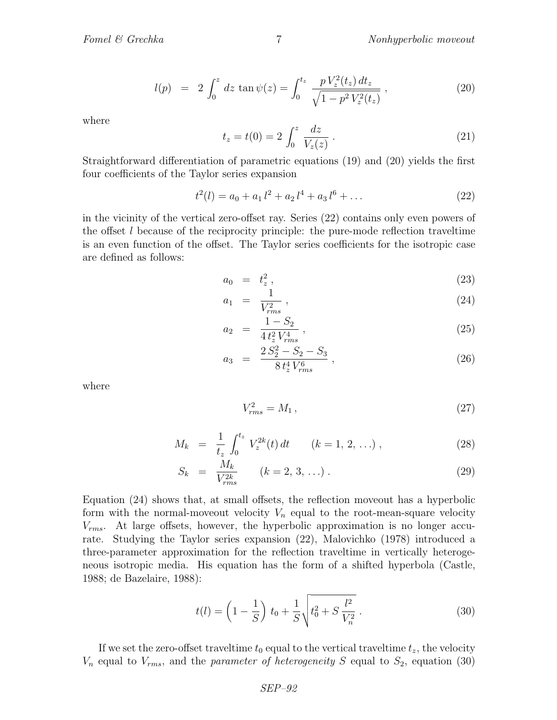$$
l(p) = 2 \int_0^z dz \tan \psi(z) = \int_0^{t_z} \frac{p V_z^2(t_z) dt_z}{\sqrt{1 - p^2 V_z^2(t_z)}},
$$
\n(20)

where

$$
t_z = t(0) = 2 \int_0^z \frac{dz}{V_z(z)} .
$$
 (21)

Straightforward differentiation of parametric equations (19) and (20) yields the first four coefficients of the Taylor series expansion

$$
t^{2}(l) = a_{0} + a_{1} l^{2} + a_{2} l^{4} + a_{3} l^{6} + \dots
$$
 (22)

in the vicinity of the vertical zero-offset ray. Series (22) contains only even powers of the offset  $l$  because of the reciprocity principle: the pure-mode reflection traveltime is an even function of the offset. The Taylor series coefficients for the isotropic case are defined as follows:

$$
a_0 = t_z^2, \tag{23}
$$

$$
a_1 = \frac{1}{V_{rms}^2} \,, \tag{24}
$$

$$
a_2 = \frac{1 - S_2}{4 t_z^2 V_{rms}^4}, \tag{25}
$$

$$
a_3 = \frac{2 S_2^2 - S_2 - S_3}{8 t_z^4 V_{rms}^6},
$$
\n(26)

where

$$
V_{rms}^2 = M_1 \,, \tag{27}
$$

$$
M_k = \frac{1}{t_z} \int_0^{t_z} V_z^{2k}(t) dt \qquad (k = 1, 2, \ldots), \qquad (28)
$$

$$
S_k = \frac{M_k}{V_{rms}^{2k}} \qquad (k = 2, 3, \ldots). \tag{29}
$$

Equation (24) shows that, at small offsets, the reflection moveout has a hyperbolic form with the normal-moveout velocity  $V_n$  equal to the root-mean-square velocity  $V_{rms}$ . At large offsets, however, the hyperbolic approximation is no longer accurate. Studying the Taylor series expansion (22), Malovichko (1978) introduced a three-parameter approximation for the reflection traveltime in vertically heterogeneous isotropic media. His equation has the form of a shifted hyperbola (Castle, 1988; de Bazelaire, 1988):

$$
t(l) = \left(1 - \frac{1}{S}\right)t_0 + \frac{1}{S}\sqrt{t_0^2 + S\frac{l^2}{V_n^2}}.
$$
\n(30)

If we set the zero-offset traveltime  $t_0$  equal to the vertical traveltime  $t_z$ , the velocity  $V_n$  equal to  $V_{rms}$ , and the *parameter of heterogeneity* S equal to  $S_2$ , equation (30)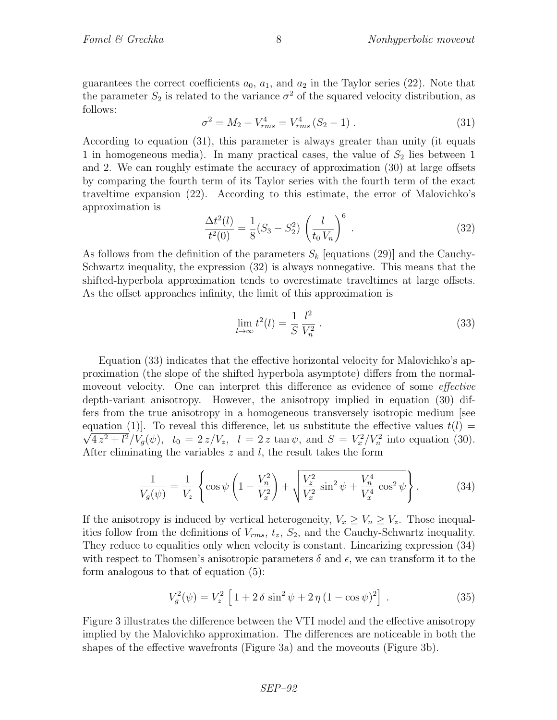guarantees the correct coefficients  $a_0$ ,  $a_1$ , and  $a_2$  in the Taylor series (22). Note that the parameter  $S_2$  is related to the variance  $\sigma^2$  of the squared velocity distribution, as follows:

$$
\sigma^2 = M_2 - V_{rms}^4 = V_{rms}^4 (S_2 - 1) \,. \tag{31}
$$

According to equation (31), this parameter is always greater than unity (it equals 1 in homogeneous media). In many practical cases, the value of  $S<sub>2</sub>$  lies between 1 and 2. We can roughly estimate the accuracy of approximation (30) at large offsets by comparing the fourth term of its Taylor series with the fourth term of the exact traveltime expansion (22). According to this estimate, the error of Malovichko's approximation is

$$
\frac{\Delta t^2(l)}{t^2(0)} = \frac{1}{8}(S_3 - S_2^2) \left(\frac{l}{t_0 V_n}\right)^6.
$$
\n(32)

As follows from the definition of the parameters  $S_k$  [equations (29)] and the Cauchy-Schwartz inequality, the expression (32) is always nonnegative. This means that the shifted-hyperbola approximation tends to overestimate traveltimes at large offsets. As the offset approaches infinity, the limit of this approximation is

$$
\lim_{l \to \infty} t^2(l) = \frac{1}{S} \frac{l^2}{V_n^2} \,. \tag{33}
$$

Equation (33) indicates that the effective horizontal velocity for Malovichko's approximation (the slope of the shifted hyperbola asymptote) differs from the normalmoveout velocity. One can interpret this difference as evidence of some *effective* depth-variant anisotropy. However, the anisotropy implied in equation (30) differs from the true anisotropy in a homogeneous transversely isotropic medium [see equation (1). To reveal this difference, let us substitute the effective values  $t(l) =$  $4z^2 + l^2/V_g(\psi)$ ,  $t_0 = 2z/V_z$ ,  $l = 2z \tan \psi$ , and  $S = V_x^2/V_n^2$  into equation (30). After eliminating the variables  $z$  and  $l$ , the result takes the form

$$
\frac{1}{V_g(\psi)} = \frac{1}{V_z} \left\{ \cos \psi \left( 1 - \frac{V_n^2}{V_x^2} \right) + \sqrt{\frac{V_z^2}{V_x^2} \sin^2 \psi + \frac{V_n^4}{V_x^4} \cos^2 \psi} \right\}.
$$
 (34)

If the anisotropy is induced by vertical heterogeneity,  $V_x \geq V_n \geq V_z$ . Those inequalities follow from the definitions of  $V_{rms}$ ,  $t_z$ ,  $S_2$ , and the Cauchy-Schwartz inequality. They reduce to equalities only when velocity is constant. Linearizing expression (34) with respect to Thomsen's anisotropic parameters  $\delta$  and  $\epsilon$ , we can transform it to the form analogous to that of equation (5):

$$
V_g^2(\psi) = V_z^2 \left[ 1 + 2 \delta \sin^2 \psi + 2 \eta (1 - \cos \psi)^2 \right] . \tag{35}
$$

Figure 3 illustrates the difference between the VTI model and the effective anisotropy implied by the Malovichko approximation. The differences are noticeable in both the shapes of the effective wavefronts (Figure 3a) and the moveouts (Figure 3b).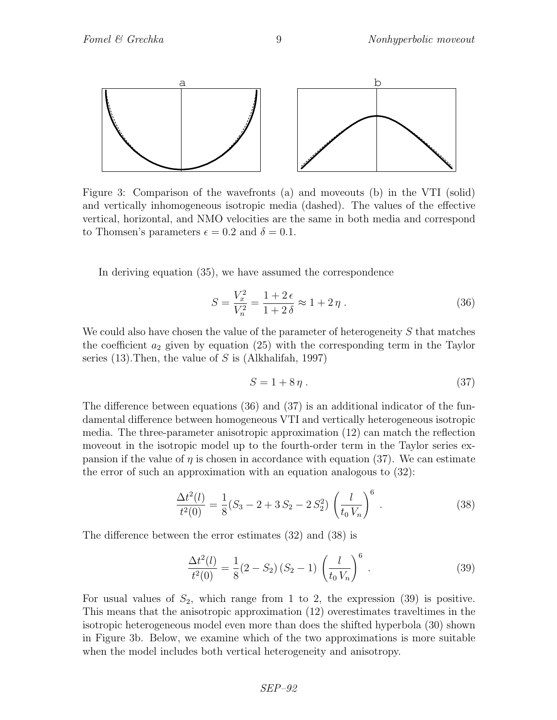

Figure 3: Comparison of the wavefronts (a) and moveouts (b) in the VTI (solid) and vertically inhomogeneous isotropic media (dashed). The values of the effective vertical, horizontal, and NMO velocities are the same in both media and correspond to Thomsen's parameters  $\epsilon = 0.2$  and  $\delta = 0.1$ .

In deriving equation (35), we have assumed the correspondence

$$
S = \frac{V_x^2}{V_n^2} = \frac{1+2\,\epsilon}{1+2\,\delta} \approx 1+2\,\eta \,. \tag{36}
$$

We could also have chosen the value of the parameter of heterogeneity  $S$  that matches the coefficient  $a_2$  given by equation (25) with the corresponding term in the Taylor series (13). Then, the value of  $S$  is (Alkhalifah, 1997)

$$
S = 1 + 8\eta \tag{37}
$$

The difference between equations (36) and (37) is an additional indicator of the fundamental difference between homogeneous VTI and vertically heterogeneous isotropic media. The three-parameter anisotropic approximation (12) can match the reflection moveout in the isotropic model up to the fourth-order term in the Taylor series expansion if the value of  $\eta$  is chosen in accordance with equation (37). We can estimate the error of such an approximation with an equation analogous to (32):

$$
\frac{\Delta t^2(l)}{t^2(0)} = \frac{1}{8}(S_3 - 2 + 3S_2 - 2S_2^2) \left(\frac{l}{t_0 V_n}\right)^6.
$$
\n(38)

The difference between the error estimates (32) and (38) is

$$
\frac{\Delta t^2(l)}{t^2(0)} = \frac{1}{8}(2 - S_2)(S_2 - 1)\left(\frac{l}{t_0 V_n}\right)^6.
$$
\n(39)

For usual values of  $S_2$ , which range from 1 to 2, the expression (39) is positive. This means that the anisotropic approximation (12) overestimates traveltimes in the isotropic heterogeneous model even more than does the shifted hyperbola (30) shown in Figure 3b. Below, we examine which of the two approximations is more suitable when the model includes both vertical heterogeneity and anisotropy.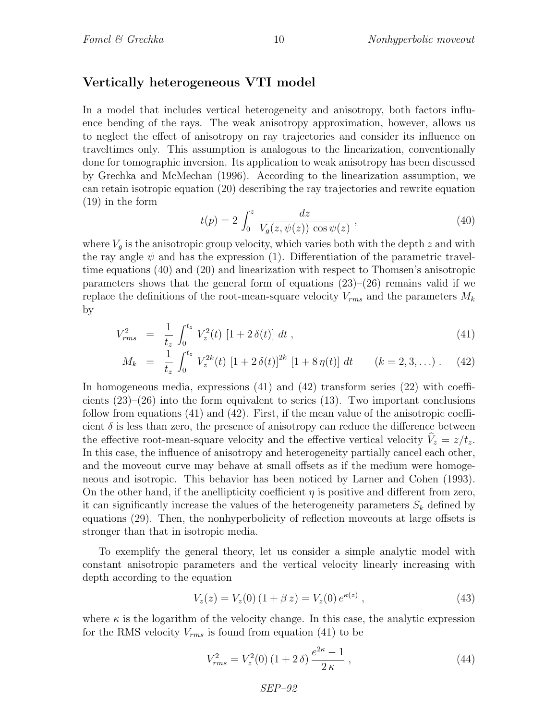#### Vertically heterogeneous VTI model

In a model that includes vertical heterogeneity and anisotropy, both factors influence bending of the rays. The weak anisotropy approximation, however, allows us to neglect the effect of anisotropy on ray trajectories and consider its influence on traveltimes only. This assumption is analogous to the linearization, conventionally done for tomographic inversion. Its application to weak anisotropy has been discussed by Grechka and McMechan (1996). According to the linearization assumption, we can retain isotropic equation (20) describing the ray trajectories and rewrite equation (19) in the form

$$
t(p) = 2 \int_0^z \frac{dz}{V_g(z, \psi(z)) \cos \psi(z)},
$$
\n(40)

where  $V<sub>q</sub>$  is the anisotropic group velocity, which varies both with the depth z and with the ray angle  $\psi$  and has the expression (1). Differentiation of the parametric traveltime equations (40) and (20) and linearization with respect to Thomsen's anisotropic parameters shows that the general form of equations  $(23)$ – $(26)$  remains valid if we replace the definitions of the root-mean-square velocity  $V_{rms}$  and the parameters  $M_k$ by

$$
V_{rms}^2 = \frac{1}{t_z} \int_0^{t_z} V_z^2(t) \left[1 + 2 \,\delta(t)\right] \, dt \,, \tag{41}
$$

$$
M_k = \frac{1}{t_z} \int_0^{t_z} V_z^{2k}(t) \left[1 + 2 \delta(t)\right]^{2k} \left[1 + 8 \eta(t)\right] dt \qquad (k = 2, 3, \ldots). \tag{42}
$$

In homogeneous media, expressions (41) and (42) transform series (22) with coefficients  $(23)$ – $(26)$  into the form equivalent to series  $(13)$ . Two important conclusions follow from equations (41) and (42). First, if the mean value of the anisotropic coefficient  $\delta$  is less than zero, the presence of anisotropy can reduce the difference between the effective root-mean-square velocity and the effective vertical velocity  $V_z = z/t_z$ . In this case, the influence of anisotropy and heterogeneity partially cancel each other, and the moveout curve may behave at small offsets as if the medium were homogeneous and isotropic. This behavior has been noticed by Larner and Cohen (1993). On the other hand, if the anellipticity coefficient  $\eta$  is positive and different from zero, it can significantly increase the values of the heterogeneity parameters  $S_k$  defined by equations (29). Then, the nonhyperbolicity of reflection moveouts at large offsets is stronger than that in isotropic media.

To exemplify the general theory, let us consider a simple analytic model with constant anisotropic parameters and the vertical velocity linearly increasing with depth according to the equation

$$
V_z(z) = V_z(0) (1 + \beta z) = V_z(0) e^{\kappa(z)}, \qquad (43)
$$

where  $\kappa$  is the logarithm of the velocity change. In this case, the analytic expression for the RMS velocity  $V_{rms}$  is found from equation (41) to be

$$
V_{rms}^2 = V_z^2(0) \left(1 + 2 \delta\right) \frac{e^{2\kappa} - 1}{2 \kappa} \,, \tag{44}
$$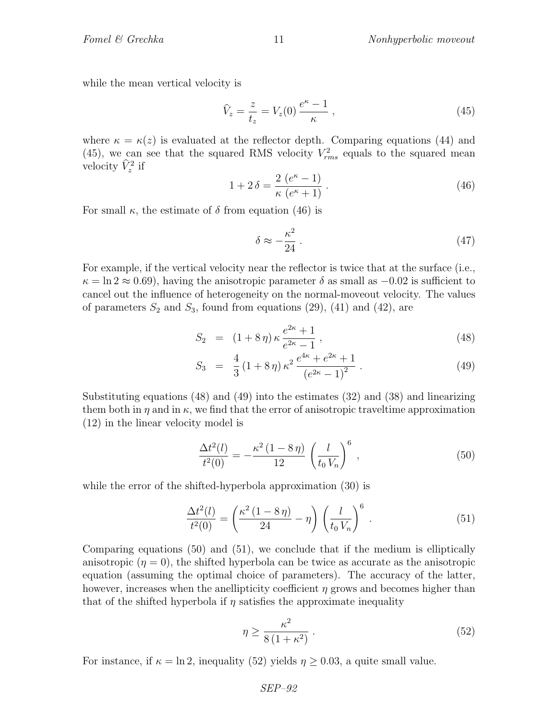while the mean vertical velocity is

$$
\widehat{V}_z = \frac{z}{t_z} = V_z(0) \frac{e^{\kappa} - 1}{\kappa} \,,\tag{45}
$$

where  $\kappa = \kappa(z)$  is evaluated at the reflector depth. Comparing equations (44) and (45), we can see that the squared RMS velocity  $V_{rms}^2$  equals to the squared mean velocity  $\hat{V}_z^2$  if

$$
1 + 2\delta = \frac{2\ (e^{\kappa} - 1)}{\kappa\ (e^{\kappa} + 1)}\,. \tag{46}
$$

For small  $\kappa$ , the estimate of  $\delta$  from equation (46) is

$$
\delta \approx -\frac{\kappa^2}{24} \,. \tag{47}
$$

For example, if the vertical velocity near the reflector is twice that at the surface (i.e.,  $\kappa = \ln 2 \approx 0.69$ , having the anisotropic parameter  $\delta$  as small as  $-0.02$  is sufficient to cancel out the influence of heterogeneity on the normal-moveout velocity. The values of parameters  $S_2$  and  $S_3$ , found from equations (29), (41) and (42), are

$$
S_2 = (1 + 8\eta) \kappa \frac{e^{2\kappa} + 1}{e^{2\kappa} - 1}, \qquad (48)
$$

$$
S_3 = \frac{4}{3} (1 + 8 \eta) \kappa^2 \frac{e^{4\kappa} + e^{2\kappa} + 1}{(e^{2\kappa} - 1)^2} . \tag{49}
$$

Substituting equations (48) and (49) into the estimates (32) and (38) and linearizing them both in  $\eta$  and in  $\kappa$ , we find that the error of anisotropic traveltime approximation (12) in the linear velocity model is

$$
\frac{\Delta t^2(l)}{t^2(0)} = -\frac{\kappa^2 (1 - 8 \eta)}{12} \left(\frac{l}{t_0 V_n}\right)^6,
$$
\n(50)

while the error of the shifted-hyperbola approximation  $(30)$  is

$$
\frac{\Delta t^2(l)}{t^2(0)} = \left(\frac{\kappa^2 (1 - 8\,\eta)}{24} - \eta\right) \left(\frac{l}{t_0 V_n}\right)^6 \,. \tag{51}
$$

Comparing equations (50) and (51), we conclude that if the medium is elliptically anisotropic  $(\eta = 0)$ , the shifted hyperbola can be twice as accurate as the anisotropic equation (assuming the optimal choice of parameters). The accuracy of the latter, however, increases when the anellipticity coefficient  $\eta$  grows and becomes higher than that of the shifted hyperbola if  $\eta$  satisfies the approximate inequality

$$
\eta \ge \frac{\kappa^2}{8\left(1+\kappa^2\right)}\,. \tag{52}
$$

For instance, if  $\kappa = \ln 2$ , inequality (52) yields  $\eta \ge 0.03$ , a quite small value.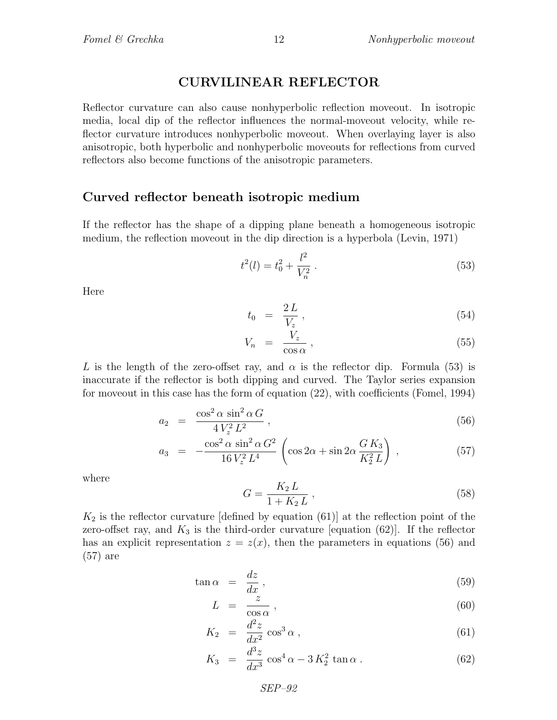## CURVILINEAR REFLECTOR

Reflector curvature can also cause nonhyperbolic reflection moveout. In isotropic media, local dip of the reflector influences the normal-moveout velocity, while reflector curvature introduces nonhyperbolic moveout. When overlaying layer is also anisotropic, both hyperbolic and nonhyperbolic moveouts for reflections from curved reflectors also become functions of the anisotropic parameters.

#### Curved reflector beneath isotropic medium

If the reflector has the shape of a dipping plane beneath a homogeneous isotropic medium, the reflection moveout in the dip direction is a hyperbola (Levin, 1971)

$$
t^2(l) = t_0^2 + \frac{l^2}{V_n^2} \,. \tag{53}
$$

Here

$$
t_0 = \frac{2L}{V_z},\tag{54}
$$

$$
V_n = \frac{V_z}{\cos \alpha} \,, \tag{55}
$$

L is the length of the zero-offset ray, and  $\alpha$  is the reflector dip. Formula (53) is inaccurate if the reflector is both dipping and curved. The Taylor series expansion for moveout in this case has the form of equation (22), with coefficients (Fomel, 1994)

$$
a_2 = \frac{\cos^2 \alpha \sin^2 \alpha G}{4 V_z^2 L^2}, \qquad (56)
$$

$$
a_3 = -\frac{\cos^2 \alpha \sin^2 \alpha G^2}{16 V_z^2 L^4} \left( \cos 2\alpha + \sin 2\alpha \frac{G K_3}{K_2^2 L} \right) , \qquad (57)
$$

where

$$
G = \frac{K_2 L}{1 + K_2 L} \,,\tag{58}
$$

 $K_2$  is the reflector curvature [defined by equation (61)] at the reflection point of the zero-offset ray, and  $K_3$  is the third-order curvature [equation (62)]. If the reflector has an explicit representation  $z = z(x)$ , then the parameters in equations (56) and (57) are

$$
\tan \alpha = \frac{dz}{dx},\tag{59}
$$

$$
L = \frac{z}{\cos \alpha} \,, \tag{60}
$$

$$
K_2 = \frac{d^2 z}{dx^2} \cos^3 \alpha , \qquad (61)
$$

$$
K_3 = \frac{d^3 z}{dx^3} \cos^4 \alpha - 3 K_2^2 \tan \alpha . \tag{62}
$$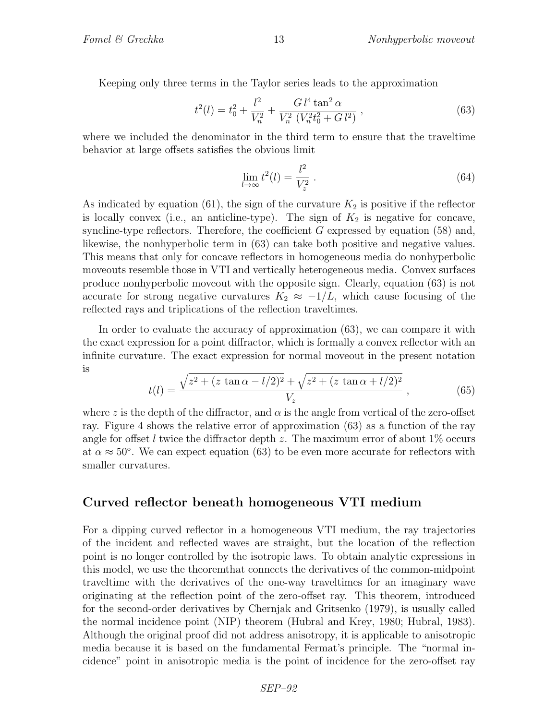Keeping only three terms in the Taylor series leads to the approximation

$$
t^{2}(l) = t_{0}^{2} + \frac{l^{2}}{V_{n}^{2}} + \frac{G l^{4} \tan^{2} \alpha}{V_{n}^{2} \left(V_{n}^{2} t_{0}^{2} + G l^{2}\right)} ,
$$
 (63)

where we included the denominator in the third term to ensure that the traveltime behavior at large offsets satisfies the obvious limit

$$
\lim_{l \to \infty} t^2(l) = \frac{l^2}{V_z^2} \,. \tag{64}
$$

As indicated by equation (61), the sign of the curvature  $K_2$  is positive if the reflector is locally convex (i.e., an anticline-type). The sign of  $K_2$  is negative for concave, syncline-type reflectors. Therefore, the coefficient  $G$  expressed by equation (58) and, likewise, the nonhyperbolic term in (63) can take both positive and negative values. This means that only for concave reflectors in homogeneous media do nonhyperbolic moveouts resemble those in VTI and vertically heterogeneous media. Convex surfaces produce nonhyperbolic moveout with the opposite sign. Clearly, equation (63) is not accurate for strong negative curvatures  $K_2 \approx -1/L$ , which cause focusing of the reflected rays and triplications of the reflection traveltimes.

In order to evaluate the accuracy of approximation (63), we can compare it with the exact expression for a point diffractor, which is formally a convex reflector with an infinite curvature. The exact expression for normal moveout in the present notation is

$$
t(l) = \frac{\sqrt{z^2 + (z \tan \alpha - l/2)^2} + \sqrt{z^2 + (z \tan \alpha + l/2)^2}}{V_z},
$$
(65)

where z is the depth of the diffractor, and  $\alpha$  is the angle from vertical of the zero-offset ray. Figure 4 shows the relative error of approximation (63) as a function of the ray angle for offset l twice the diffractor depth z. The maximum error of about  $1\%$  occurs at  $\alpha \approx 50^{\circ}$ . We can expect equation (63) to be even more accurate for reflectors with smaller curvatures.

### Curved reflector beneath homogeneous VTI medium

For a dipping curved reflector in a homogeneous VTI medium, the ray trajectories of the incident and reflected waves are straight, but the location of the reflection point is no longer controlled by the isotropic laws. To obtain analytic expressions in this model, we use the theoremthat connects the derivatives of the common-midpoint traveltime with the derivatives of the one-way traveltimes for an imaginary wave originating at the reflection point of the zero-offset ray. This theorem, introduced for the second-order derivatives by Chernjak and Gritsenko (1979), is usually called the normal incidence point (NIP) theorem (Hubral and Krey, 1980; Hubral, 1983). Although the original proof did not address anisotropy, it is applicable to anisotropic media because it is based on the fundamental Fermat's principle. The "normal incidence" point in anisotropic media is the point of incidence for the zero-offset ray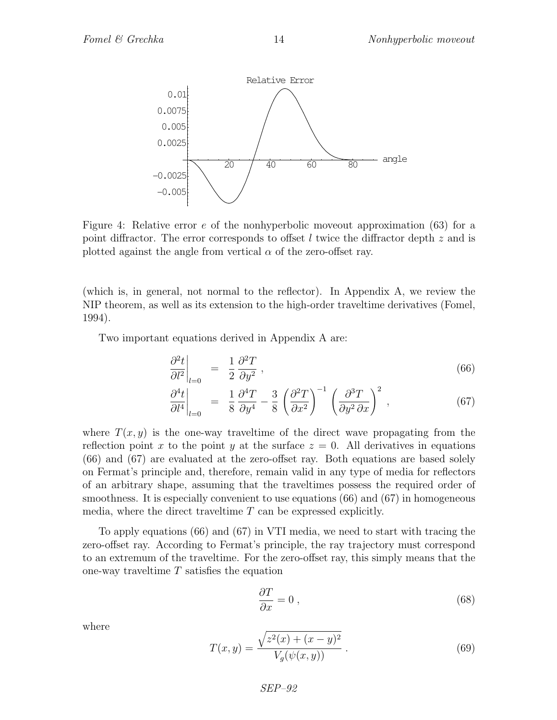

Figure 4: Relative error e of the nonhyperbolic moveout approximation (63) for a point diffractor. The error corresponds to offset  $l$  twice the diffractor depth  $z$  and is plotted against the angle from vertical  $\alpha$  of the zero-offset ray.

(which is, in general, not normal to the reflector). In Appendix A, we review the NIP theorem, as well as its extension to the high-order traveltime derivatives (Fomel, 1994).

Two important equations derived in Appendix A are:

$$
\left. \frac{\partial^2 t}{\partial l^2} \right|_{l=0} = \left. \frac{1}{2} \frac{\partial^2 T}{\partial y^2} \right|, \tag{66}
$$

$$
\left. \frac{\partial^4 t}{\partial l^4} \right|_{l=0} = \left. \frac{1}{8} \frac{\partial^4 T}{\partial y^4} - \frac{3}{8} \left( \frac{\partial^2 T}{\partial x^2} \right)^{-1} \left( \frac{\partial^3 T}{\partial y^2 \partial x} \right)^2 ,\right. \tag{67}
$$

where  $T(x, y)$  is the one-way traveltime of the direct wave propagating from the reflection point x to the point y at the surface  $z = 0$ . All derivatives in equations (66) and (67) are evaluated at the zero-offset ray. Both equations are based solely on Fermat's principle and, therefore, remain valid in any type of media for reflectors of an arbitrary shape, assuming that the traveltimes possess the required order of smoothness. It is especially convenient to use equations (66) and (67) in homogeneous media, where the direct traveltime T can be expressed explicitly.

To apply equations (66) and (67) in VTI media, we need to start with tracing the zero-offset ray. According to Fermat's principle, the ray trajectory must correspond to an extremum of the traveltime. For the zero-offset ray, this simply means that the one-way travel time  $T$  satisfies the equation

$$
\frac{\partial T}{\partial x} = 0 \,, \tag{68}
$$

where

$$
T(x,y) = \frac{\sqrt{z^2(x) + (x - y)^2}}{V_g(\psi(x,y))}.
$$
 (69)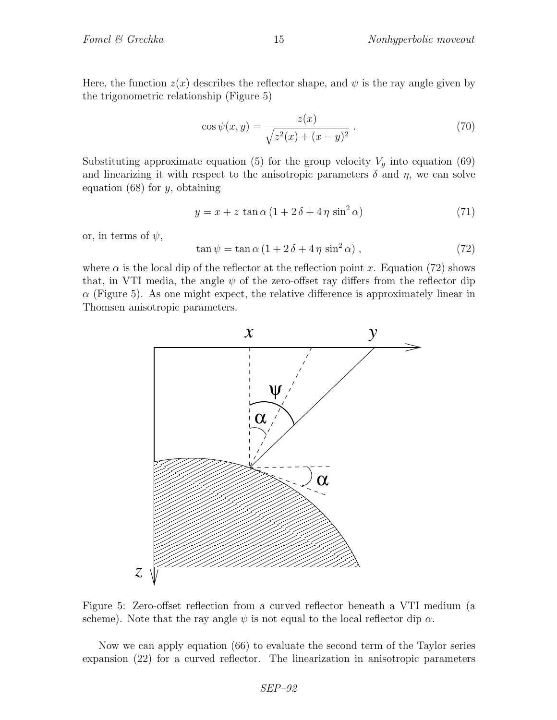Here, the function  $z(x)$  describes the reflector shape, and  $\psi$  is the ray angle given by the trigonometric relationship (Figure 5)

$$
\cos \psi(x, y) = \frac{z(x)}{\sqrt{z^2(x) + (x - y)^2}}.
$$
\n(70)

Substituting approximate equation (5) for the group velocity  $V_g$  into equation (69) and linearizing it with respect to the anisotropic parameters  $\delta$  and  $\eta$ , we can solve equation  $(68)$  for y, obtaining

$$
y = x + z \tan \alpha \left( 1 + 2 \delta + 4 \eta \sin^2 \alpha \right) \tag{71}
$$

or, in terms of  $\psi$ ,

$$
\tan \psi = \tan \alpha \left( 1 + 2 \delta + 4 \eta \sin^2 \alpha \right),\tag{72}
$$

where  $\alpha$  is the local dip of the reflector at the reflection point x. Equation (72) shows that, in VTI media, the angle  $\psi$  of the zero-offset ray differs from the reflector dip  $\alpha$  (Figure 5). As one might expect, the relative difference is approximately linear in Thomsen anisotropic parameters.



Figure 5: Zero-offset reflection from a curved reflector beneath a VTI medium (a scheme). Note that the ray angle  $\psi$  is not equal to the local reflector dip  $\alpha$ .

Now we can apply equation (66) to evaluate the second term of the Taylor series expansion (22) for a curved reflector. The linearization in anisotropic parameters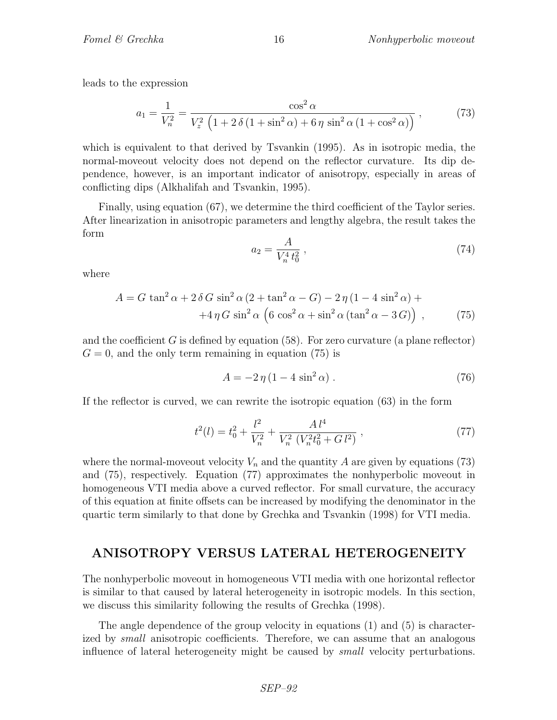leads to the expression

$$
a_1 = \frac{1}{V_n^2} = \frac{\cos^2 \alpha}{V_z^2 \left(1 + 2\,\delta\,(1 + \sin^2 \alpha) + 6\,\eta\,\sin^2 \alpha\,(1 + \cos^2 \alpha)\right)}\,,\tag{73}
$$

which is equivalent to that derived by Tsvankin (1995). As in isotropic media, the normal-moveout velocity does not depend on the reflector curvature. Its dip dependence, however, is an important indicator of anisotropy, especially in areas of conflicting dips (Alkhalifah and Tsvankin, 1995).

Finally, using equation (67), we determine the third coefficient of the Taylor series. After linearization in anisotropic parameters and lengthy algebra, the result takes the form

$$
a_2 = \frac{A}{V_n^4 t_0^2} \,,\tag{74}
$$

where

$$
A = G \tan^2 \alpha + 2 \delta G \sin^2 \alpha (2 + \tan^2 \alpha - G) - 2 \eta (1 - 4 \sin^2 \alpha) + 4 \eta G \sin^2 \alpha (6 \cos^2 \alpha + \sin^2 \alpha (\tan^2 \alpha - 3 G)),
$$
 (75)

and the coefficient  $G$  is defined by equation (58). For zero curvature (a plane reflector)  $G = 0$ , and the only term remaining in equation (75) is

$$
A = -2\eta \left(1 - 4\sin^2\alpha\right). \tag{76}
$$

If the reflector is curved, we can rewrite the isotropic equation (63) in the form

$$
t^{2}(l) = t_{0}^{2} + \frac{l^{2}}{V_{n}^{2}} + \frac{Al^{4}}{V_{n}^{2} \left(V_{n}^{2} t_{0}^{2} + Gl^{2}\right)} ,
$$
\n
$$
\tag{77}
$$

where the normal-moveout velocity  $V_n$  and the quantity A are given by equations (73) and (75), respectively. Equation (77) approximates the nonhyperbolic moveout in homogeneous VTI media above a curved reflector. For small curvature, the accuracy of this equation at finite offsets can be increased by modifying the denominator in the quartic term similarly to that done by Grechka and Tsvankin (1998) for VTI media.

#### ANISOTROPY VERSUS LATERAL HETEROGENEITY

The nonhyperbolic moveout in homogeneous VTI media with one horizontal reflector is similar to that caused by lateral heterogeneity in isotropic models. In this section, we discuss this similarity following the results of Grechka (1998).

The angle dependence of the group velocity in equations (1) and (5) is characterized by *small* anisotropic coefficients. Therefore, we can assume that an analogous influence of lateral heterogeneity might be caused by small velocity perturbations.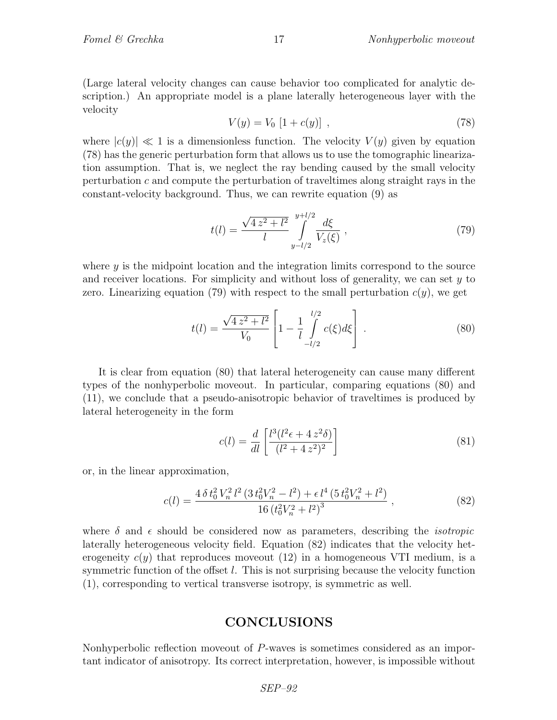(Large lateral velocity changes can cause behavior too complicated for analytic description.) An appropriate model is a plane laterally heterogeneous layer with the velocity

$$
V(y) = V_0 [1 + c(y)], \qquad (78)
$$

where  $|c(y)| \ll 1$  is a dimensionless function. The velocity  $V(y)$  given by equation (78) has the generic perturbation form that allows us to use the tomographic linearization assumption. That is, we neglect the ray bending caused by the small velocity perturbation c and compute the perturbation of traveltimes along straight rays in the constant-velocity background. Thus, we can rewrite equation (9) as

$$
t(l) = \frac{\sqrt{4 z^2 + l^2}}{l} \int_{y-l/2}^{y+l/2} \frac{d\xi}{V_z(\xi)} ,
$$
 (79)

where  $\gamma$  is the midpoint location and the integration limits correspond to the source and receiver locations. For simplicity and without loss of generality, we can set  $y$  to zero. Linearizing equation (79) with respect to the small perturbation  $c(y)$ , we get

$$
t(l) = \frac{\sqrt{4 z^2 + l^2}}{V_0} \left[ 1 - \frac{1}{l} \int_{-l/2}^{l/2} c(\xi) d\xi \right] . \tag{80}
$$

It is clear from equation (80) that lateral heterogeneity can cause many different types of the nonhyperbolic moveout. In particular, comparing equations (80) and (11), we conclude that a pseudo-anisotropic behavior of traveltimes is produced by lateral heterogeneity in the form

$$
c(l) = \frac{d}{dl} \left[ \frac{l^3(l^2\epsilon + 4z^2\delta)}{(l^2 + 4z^2)^2} \right]
$$
 (81)

or, in the linear approximation,

$$
c(l) = \frac{4 \delta t_0^2 V_n^2 l^2 \left(3 t_0^2 V_n^2 - l^2\right) + \epsilon l^4 \left(5 t_0^2 V_n^2 + l^2\right)}{16 \left(t_0^2 V_n^2 + l^2\right)^3} \,,\tag{82}
$$

where  $\delta$  and  $\epsilon$  should be considered now as parameters, describing the *isotropic* laterally heterogeneous velocity field. Equation (82) indicates that the velocity heterogeneity  $c(y)$  that reproduces moveout (12) in a homogeneous VTI medium, is a symmetric function of the offset  $l$ . This is not surprising because the velocity function (1), corresponding to vertical transverse isotropy, is symmetric as well.

### CONCLUSIONS

Nonhyperbolic reflection moveout of P-waves is sometimes considered as an important indicator of anisotropy. Its correct interpretation, however, is impossible without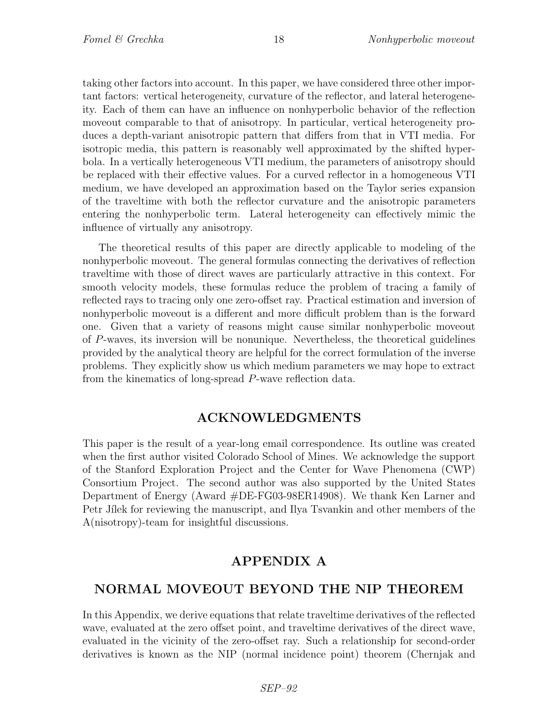taking other factors into account. In this paper, we have considered three other important factors: vertical heterogeneity, curvature of the reflector, and lateral heterogeneity. Each of them can have an influence on nonhyperbolic behavior of the reflection moveout comparable to that of anisotropy. In particular, vertical heterogeneity produces a depth-variant anisotropic pattern that differs from that in VTI media. For isotropic media, this pattern is reasonably well approximated by the shifted hyperbola. In a vertically heterogeneous VTI medium, the parameters of anisotropy should be replaced with their effective values. For a curved reflector in a homogeneous VTI medium, we have developed an approximation based on the Taylor series expansion of the traveltime with both the reflector curvature and the anisotropic parameters entering the nonhyperbolic term. Lateral heterogeneity can effectively mimic the influence of virtually any anisotropy.

The theoretical results of this paper are directly applicable to modeling of the nonhyperbolic moveout. The general formulas connecting the derivatives of reflection traveltime with those of direct waves are particularly attractive in this context. For smooth velocity models, these formulas reduce the problem of tracing a family of reflected rays to tracing only one zero-offset ray. Practical estimation and inversion of nonhyperbolic moveout is a different and more difficult problem than is the forward one. Given that a variety of reasons might cause similar nonhyperbolic moveout of P-waves, its inversion will be nonunique. Nevertheless, the theoretical guidelines provided by the analytical theory are helpful for the correct formulation of the inverse problems. They explicitly show us which medium parameters we may hope to extract from the kinematics of long-spread P-wave reflection data.

#### ACKNOWLEDGMENTS

This paper is the result of a year-long email correspondence. Its outline was created when the first author visited Colorado School of Mines. We acknowledge the support of the Stanford Exploration Project and the Center for Wave Phenomena (CWP) Consortium Project. The second author was also supported by the United States Department of Energy (Award #DE-FG03-98ER14908). We thank Ken Larner and Petr Jilek for reviewing the manuscript, and Ilya Tsvankin and other members of the A(nisotropy)-team for insightful discussions.

## APPENDIX A

### NORMAL MOVEOUT BEYOND THE NIP THEOREM

In this Appendix, we derive equations that relate traveltime derivatives of the reflected wave, evaluated at the zero offset point, and traveltime derivatives of the direct wave, evaluated in the vicinity of the zero-offset ray. Such a relationship for second-order derivatives is known as the NIP (normal incidence point) theorem (Chernjak and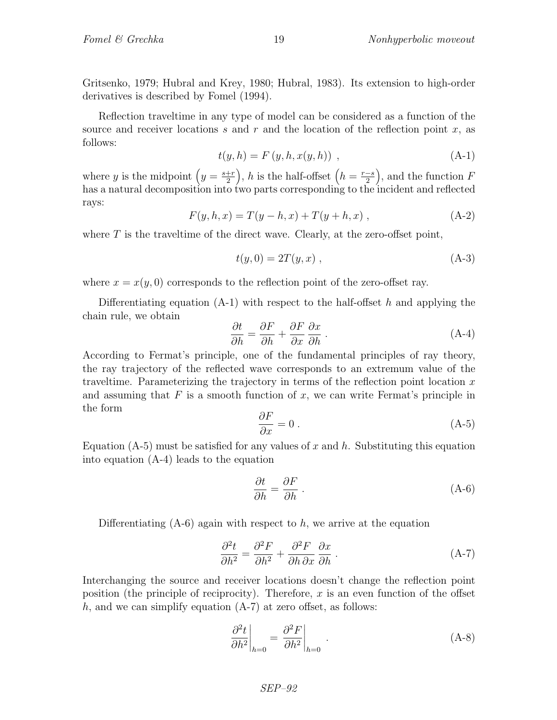Gritsenko, 1979; Hubral and Krey, 1980; Hubral, 1983). Its extension to high-order derivatives is described by Fomel (1994).

Reflection traveltime in any type of model can be considered as a function of the source and receiver locations s and r and the location of the reflection point x, as follows:

$$
t(y, h) = F(y, h, x(y, h)) , \t(A-1)
$$

where y is the midpoint  $\left(y = \frac{s+r}{2}\right)$ 2 ), h is the half-offset  $(h = \frac{r-s}{2})$ 2 ), and the function  $F$ has a natural decomposition into two parts corresponding to the incident and reflected rays:

$$
F(y, h, x) = T(y - h, x) + T(y + h, x), \qquad (A-2)
$$

where  $T$  is the traveltime of the direct wave. Clearly, at the zero-offset point,

$$
t(y,0) = 2T(y,x) , \t(A-3)
$$

where  $x = x(y, 0)$  corresponds to the reflection point of the zero-offset ray.

Differentiating equation  $(A-1)$  with respect to the half-offset h and applying the chain rule, we obtain

$$
\frac{\partial t}{\partial h} = \frac{\partial F}{\partial h} + \frac{\partial F}{\partial x} \frac{\partial x}{\partial h}.
$$
 (A-4)

According to Fermat's principle, one of the fundamental principles of ray theory, the ray trajectory of the reflected wave corresponds to an extremum value of the traveltime. Parameterizing the trajectory in terms of the reflection point location  $x$ and assuming that  $F$  is a smooth function of  $x$ , we can write Fermat's principle in the form

$$
\frac{\partial F}{\partial x} = 0 \tag{A-5}
$$

Equation (A-5) must be satisfied for any values of x and h. Substituting this equation into equation (A-4) leads to the equation

$$
\frac{\partial t}{\partial h} = \frac{\partial F}{\partial h} \tag{A-6}
$$

Differentiating  $(A-6)$  again with respect to h, we arrive at the equation

$$
\frac{\partial^2 t}{\partial h^2} = \frac{\partial^2 F}{\partial h^2} + \frac{\partial^2 F}{\partial h \partial x} \frac{\partial x}{\partial h}.
$$
 (A-7)

Interchanging the source and receiver locations doesn't change the reflection point position (the principle of reciprocity). Therefore,  $x$  is an even function of the offset h, and we can simplify equation  $(A-7)$  at zero offset, as follows:

$$
\left. \frac{\partial^2 t}{\partial h^2} \right|_{h=0} = \left. \frac{\partial^2 F}{\partial h^2} \right|_{h=0} . \tag{A-8}
$$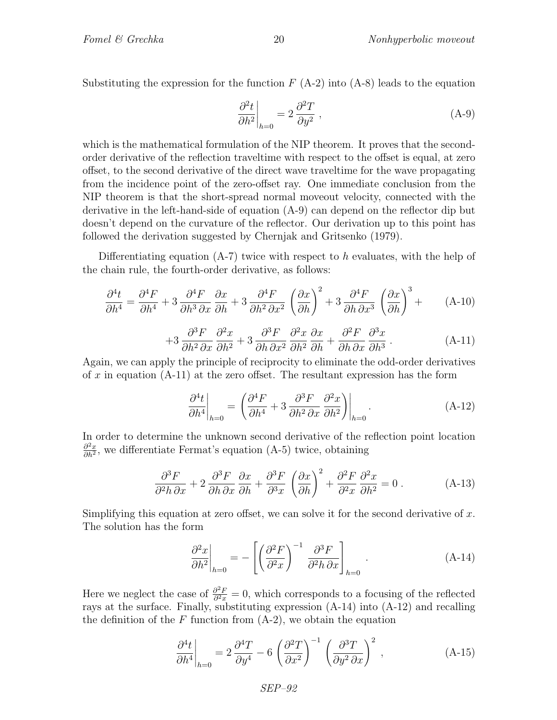Substituting the expression for the function  $F(A-2)$  into  $(A-8)$  leads to the equation

$$
\left. \frac{\partial^2 t}{\partial h^2} \right|_{h=0} = 2 \frac{\partial^2 T}{\partial y^2} , \qquad (A-9)
$$

which is the mathematical formulation of the NIP theorem. It proves that the secondorder derivative of the reflection traveltime with respect to the offset is equal, at zero offset, to the second derivative of the direct wave traveltime for the wave propagating from the incidence point of the zero-offset ray. One immediate conclusion from the NIP theorem is that the short-spread normal moveout velocity, connected with the derivative in the left-hand-side of equation (A-9) can depend on the reflector dip but doesn't depend on the curvature of the reflector. Our derivation up to this point has followed the derivation suggested by Chernjak and Gritsenko (1979).

Differentiating equation  $(A-7)$  twice with respect to h evaluates, with the help of the chain rule, the fourth-order derivative, as follows:

$$
\frac{\partial^4 t}{\partial h^4} = \frac{\partial^4 F}{\partial h^4} + 3 \frac{\partial^4 F}{\partial h^3 \partial x} \frac{\partial x}{\partial h} + 3 \frac{\partial^4 F}{\partial h^2 \partial x^2} \left(\frac{\partial x}{\partial h}\right)^2 + 3 \frac{\partial^4 F}{\partial h \partial x^3} \left(\frac{\partial x}{\partial h}\right)^3 + \tag{A-10}
$$

$$
+3\frac{\partial^3 F}{\partial h^2 \partial x} \frac{\partial^2 x}{\partial h^2} + 3\frac{\partial^3 F}{\partial h \partial x^2} \frac{\partial^2 x}{\partial h^2} \frac{\partial x}{\partial h} + \frac{\partial^2 F}{\partial h \partial x} \frac{\partial^3 x}{\partial h^3}.
$$
 (A-11)

Again, we can apply the principle of reciprocity to eliminate the odd-order derivatives of x in equation  $(A-11)$  at the zero offset. The resultant expression has the form

$$
\left. \frac{\partial^4 t}{\partial h^4} \right|_{h=0} = \left. \left( \frac{\partial^4 F}{\partial h^4} + 3 \frac{\partial^3 F}{\partial h^2 \partial x} \frac{\partial^2 x}{\partial h^2} \right) \right|_{h=0} . \tag{A-12}
$$

In order to determine the unknown second derivative of the reflection point location  $\partial^2 x$  $\frac{\partial^2 x}{\partial h^2}$ , we differentiate Fermat's equation (A-5) twice, obtaining

$$
\frac{\partial^3 F}{\partial^2 h \, \partial x} + 2 \frac{\partial^3 F}{\partial h \, \partial x} \frac{\partial x}{\partial h} + \frac{\partial^3 F}{\partial^3 x} \left( \frac{\partial x}{\partial h} \right)^2 + \frac{\partial^2 F}{\partial^2 x} \frac{\partial^2 x}{\partial h^2} = 0 \,. \tag{A-13}
$$

Simplifying this equation at zero offset, we can solve it for the second derivative of  $x$ . The solution has the form

$$
\left. \frac{\partial^2 x}{\partial h^2} \right|_{h=0} = -\left[ \left( \frac{\partial^2 F}{\partial^2 x} \right)^{-1} \frac{\partial^3 F}{\partial^2 h \, \partial x} \right]_{h=0} . \tag{A-14}
$$

Here we neglect the case of  $\frac{\partial^2 F}{\partial^2 x}$  $\frac{\partial^2 F}{\partial^2 x} = 0$ , which corresponds to a focusing of the reflected rays at the surface. Finally, substituting expression (A-14) into (A-12) and recalling the definition of the  $F$  function from  $(A-2)$ , we obtain the equation

$$
\left. \frac{\partial^4 t}{\partial h^4} \right|_{h=0} = 2 \frac{\partial^4 T}{\partial y^4} - 6 \left( \frac{\partial^2 T}{\partial x^2} \right)^{-1} \left( \frac{\partial^3 T}{\partial y^2 \partial x} \right)^2 , \qquad (A-15)
$$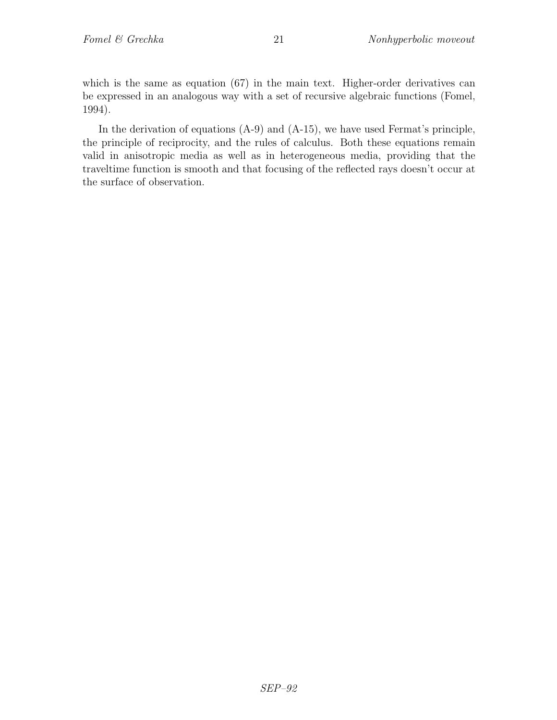which is the same as equation (67) in the main text. Higher-order derivatives can be expressed in an analogous way with a set of recursive algebraic functions (Fomel, 1994).

In the derivation of equations (A-9) and (A-15), we have used Fermat's principle, the principle of reciprocity, and the rules of calculus. Both these equations remain valid in anisotropic media as well as in heterogeneous media, providing that the traveltime function is smooth and that focusing of the reflected rays doesn't occur at the surface of observation.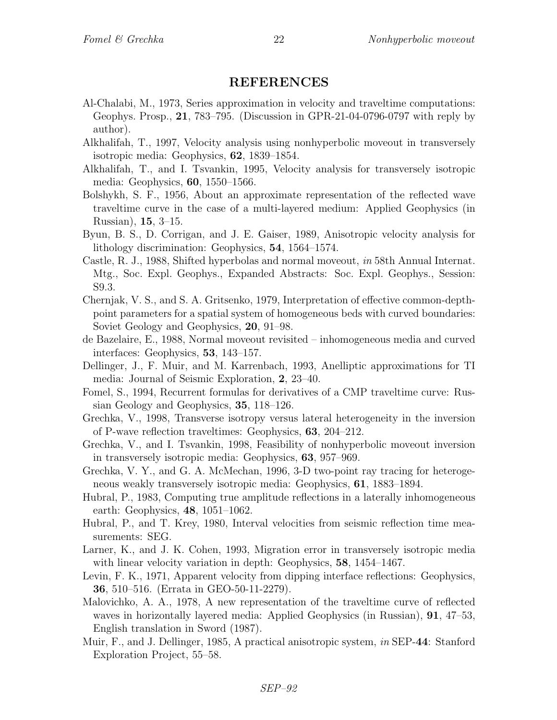## REFERENCES

- Al-Chalabi, M., 1973, Series approximation in velocity and traveltime computations: Geophys. Prosp., 21, 783–795. (Discussion in GPR-21-04-0796-0797 with reply by author).
- Alkhalifah, T., 1997, Velocity analysis using nonhyperbolic moveout in transversely isotropic media: Geophysics, 62, 1839–1854.
- Alkhalifah, T., and I. Tsvankin, 1995, Velocity analysis for transversely isotropic media: Geophysics, 60, 1550–1566.
- Bolshykh, S. F., 1956, About an approximate representation of the reflected wave traveltime curve in the case of a multi-layered medium: Applied Geophysics (in Russian), 15, 3–15.
- Byun, B. S., D. Corrigan, and J. E. Gaiser, 1989, Anisotropic velocity analysis for lithology discrimination: Geophysics, 54, 1564–1574.
- Castle, R. J., 1988, Shifted hyperbolas and normal moveout, in 58th Annual Internat. Mtg., Soc. Expl. Geophys., Expanded Abstracts: Soc. Expl. Geophys., Session: S9.3.
- Chernjak, V. S., and S. A. Gritsenko, 1979, Interpretation of effective common-depthpoint parameters for a spatial system of homogeneous beds with curved boundaries: Soviet Geology and Geophysics, 20, 91–98.
- de Bazelaire, E., 1988, Normal moveout revisited inhomogeneous media and curved interfaces: Geophysics, 53, 143–157.
- Dellinger, J., F. Muir, and M. Karrenbach, 1993, Anelliptic approximations for TI media: Journal of Seismic Exploration, 2, 23–40.
- Fomel, S., 1994, Recurrent formulas for derivatives of a CMP traveltime curve: Russian Geology and Geophysics, 35, 118–126.
- Grechka, V., 1998, Transverse isotropy versus lateral heterogeneity in the inversion of P-wave reflection traveltimes: Geophysics, 63, 204–212.
- Grechka, V., and I. Tsvankin, 1998, Feasibility of nonhyperbolic moveout inversion in transversely isotropic media: Geophysics, 63, 957–969.
- Grechka, V. Y., and G. A. McMechan, 1996, 3-D two-point ray tracing for heterogeneous weakly transversely isotropic media: Geophysics, 61, 1883–1894.
- Hubral, P., 1983, Computing true amplitude reflections in a laterally inhomogeneous earth: Geophysics, 48, 1051–1062.
- Hubral, P., and T. Krey, 1980, Interval velocities from seismic reflection time measurements: SEG.
- Larner, K., and J. K. Cohen, 1993, Migration error in transversely isotropic media with linear velocity variation in depth: Geophysics, **58**, 1454–1467.
- Levin, F. K., 1971, Apparent velocity from dipping interface reflections: Geophysics, 36, 510–516. (Errata in GEO-50-11-2279).
- Malovichko, A. A., 1978, A new representation of the traveltime curve of reflected waves in horizontally layered media: Applied Geophysics (in Russian), 91, 47–53, English translation in Sword (1987).
- Muir, F., and J. Dellinger, 1985, A practical anisotropic system, in SEP-44: Stanford Exploration Project, 55–58.